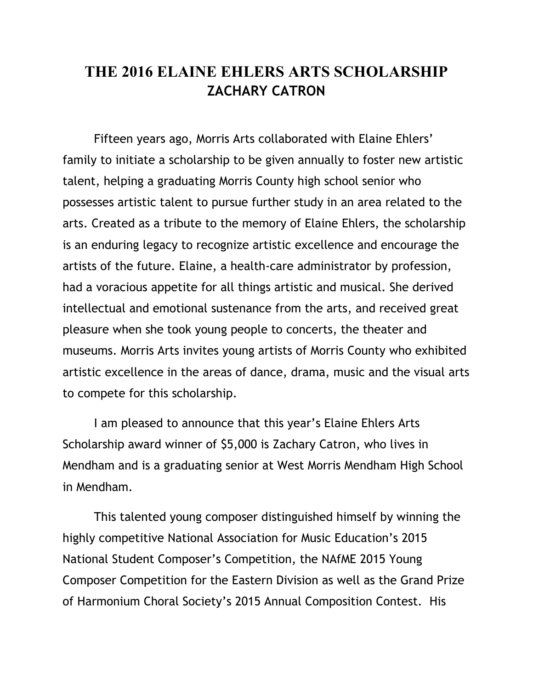## **THE 2016 ELAINE EHLERS ARTS SCHOLARSHIP ZACHARY CATRON**

 Fifteen years ago, Morris Arts collaborated with Elaine Ehlers' family to initiate a scholarship to be given annually to foster new artistic talent, helping a graduating Morris County high school senior who possesses artistic talent to pursue further study in an area related to the arts. Created as a tribute to the memory of Elaine Ehlers, the scholarship is an enduring legacy to recognize artistic excellence and encourage the artists of the future. Elaine, a health-care administrator by profession, had a voracious appetite for all things artistic and musical. She derived intellectual and emotional sustenance from the arts, and received great pleasure when she took young people to concerts, the theater and museums. Morris Arts invites young artists of Morris County who exhibited artistic excellence in the areas of dance, drama, music and the visual arts to compete for this scholarship.

 I am pleased to announce that this year's Elaine Ehlers Arts Scholarship award winner of \$5,000 is Zachary Catron, who lives in Mendham and is a graduating senior at West Morris Mendham High School in Mendham.

 This talented young composer distinguished himself by winning the highly competitive National Association for Music Education's 2015 National Student Composer's Competition, the NAfME 2015 Young Composer Competition for the Eastern Division as well as the Grand Prize of Harmonium Choral Society's 2015 Annual Composition Contest. His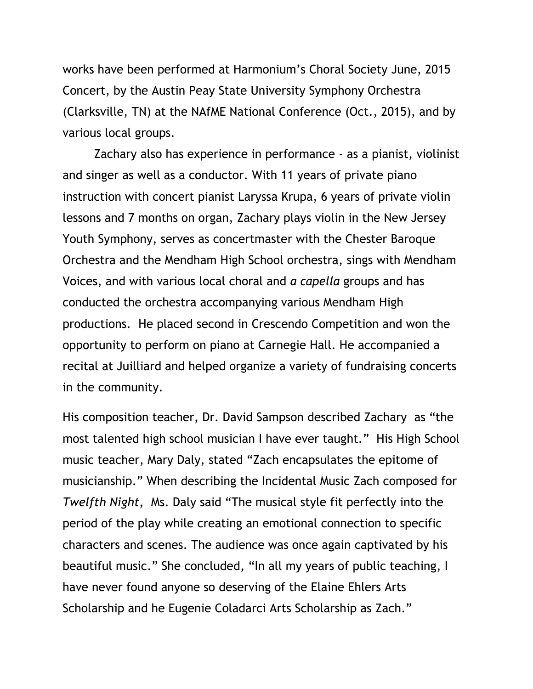works have been performed at Harmonium's Choral Society June, 2015 Concert, by the Austin Peay State University Symphony Orchestra (Clarksville, TN) at the NAfME National Conference (Oct., 2015), and by various local groups.

 Zachary also has experience in performance - as a pianist, violinist and singer as well as a conductor. With 11 years of private piano instruction with concert pianist Laryssa Krupa, 6 years of private violin lessons and 7 months on organ, Zachary plays violin in the New Jersey Youth Symphony, serves as concertmaster with the Chester Baroque Orchestra and the Mendham High School orchestra, sings with Mendham Voices, and with various local choral and *a capella* groups and has conducted the orchestra accompanying various Mendham High productions. He placed second in Crescendo Competition and won the opportunity to perform on piano at Carnegie Hall. He accompanied a recital at Juilliard and helped organize a variety of fundraising concerts in the community.

His composition teacher, Dr. David Sampson described Zachary as "the most talented high school musician I have ever taught." His High School music teacher, Mary Daly, stated "Zach encapsulates the epitome of musicianship." When describing the Incidental Music Zach composed for *Twelfth Night*, Ms. Daly said "The musical style fit perfectly into the period of the play while creating an emotional connection to specific characters and scenes. The audience was once again captivated by his beautiful music." She concluded, "In all my years of public teaching, I have never found anyone so deserving of the Elaine Ehlers Arts Scholarship and he Eugenie Coladarci Arts Scholarship as Zach."